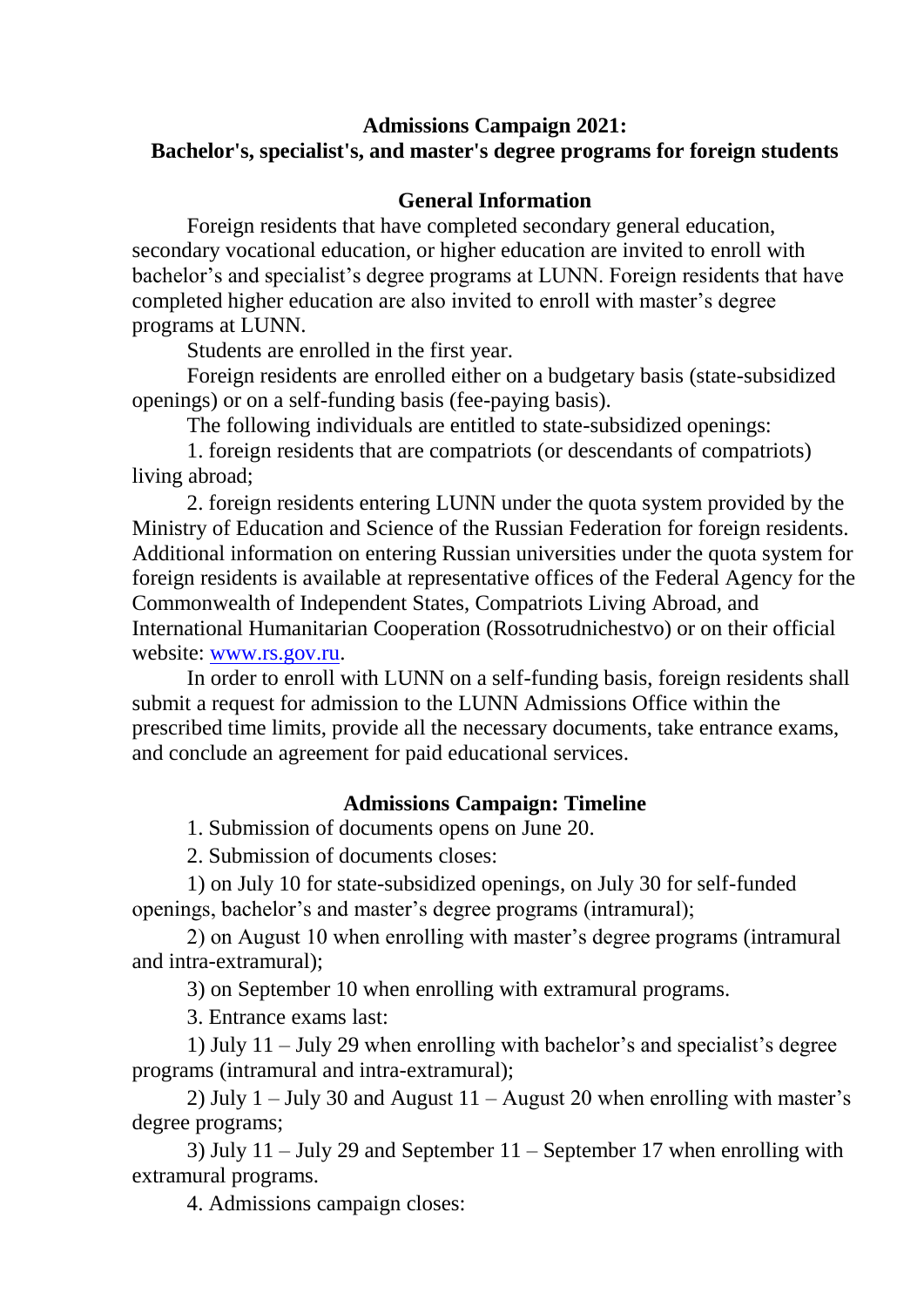#### **Admissions Campaign 2021: Bachelor's, specialist's, and master's degree programs for foreign students**

### **General Information**

Foreign residents that have completed secondary general education, secondary vocational education, or higher education are invited to enroll with bachelor's and specialist's degree programs at LUNN. Foreign residents that have completed higher education are also invited to enroll with master's degree programs at LUNN.

Students are enrolled in the first year.

Foreign residents are enrolled either on a budgetary basis (state-subsidized openings) or on a self-funding basis (fee-paying basis).

The following individuals are entitled to state-subsidized openings:

1. foreign residents that are compatriots (or descendants of compatriots) living abroad;

2. foreign residents entering LUNN under the quota system provided by the Ministry of Education and Science of the Russian Federation for foreign residents. Additional information on entering Russian universities under the quota system for foreign residents is available at representative offices of the Federal Agency for the Commonwealth of Independent States, Compatriots Living Abroad, and International Humanitarian Cooperation (Rossotrudnichestvo) or on their official website: [www.rs.gov.ru.](http://www.rs.gov.ru/)

In order to enroll with LUNN on a self-funding basis, foreign residents shall submit a request for admission to the LUNN Admissions Office within the prescribed time limits, provide all the necessary documents, take entrance exams, and conclude an agreement for paid educational services.

# **Admissions Campaign: Timeline**

1. Submission of documents opens on June 20.

2. Submission of documents closes:

1) on July 10 for state-subsidized openings, on July 30 for self-funded openings, bachelor's and master's degree programs (intramural);

2) on August 10 when enrolling with master's degree programs (intramural and intra-extramural);

3) on September 10 when enrolling with extramural programs.

3. Entrance exams last:

1) July 11 – July 29 when enrolling with bachelor's and specialist's degree programs (intramural and intra-extramural);

2) July  $1 -$  July 30 and August  $11 -$  August 20 when enrolling with master's degree programs;

3) July 11 – July 29 and September 11 – September 17 when enrolling with extramural programs.

4. Admissions campaign closes: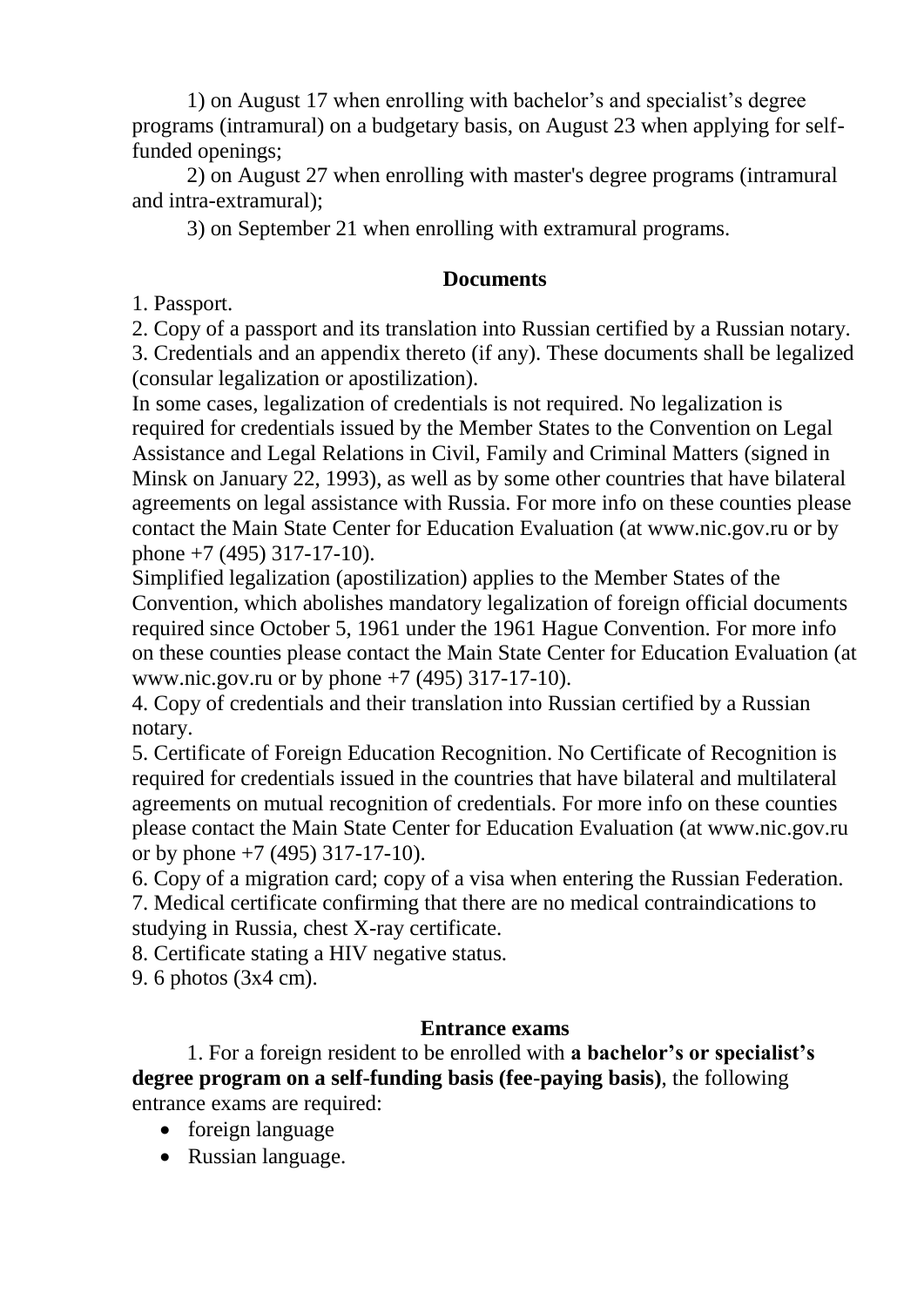1) on August 17 when enrolling with bachelor's and specialist's degree programs (intramural) on a budgetary basis, on August 23 when applying for selffunded openings;

2) on August 27 when enrolling with master's degree programs (intramural and intra-extramural);

3) on September 21 when enrolling with extramural programs.

#### **Documents**

1. Passport.

2. Copy of a passport and its translation into Russian certified by a Russian notary.

3. Credentials and an appendix thereto (if any). These documents shall be legalized (consular legalization or apostilization).

In some cases, legalization of credentials is not required. No legalization is required for credentials issued by the Member States to the Convention on Legal Assistance and Legal Relations in Civil, Family and Criminal Matters (signed in Minsk on January 22, 1993), as well as by some other countries that have bilateral agreements on legal assistance with Russia. For more info on these counties please contact the Main State Center for Education Evaluation (at www.nic.gov.ru or by phone +7 (495) 317-17-10).

Simplified legalization (apostilization) applies to the Member States of the Convention, which abolishes mandatory legalization of foreign official documents required since October 5, 1961 under the 1961 Hague Convention. For more info on these counties please contact the Main State Center for Education Evaluation (at www.nic.gov.ru or by phone +7 (495) 317-17-10).

4. Copy of credentials and their translation into Russian certified by a Russian notary.

5. Certificate of Foreign Education Recognition. No Certificate of Recognition is required for credentials issued in the countries that have bilateral and multilateral agreements on mutual recognition of credentials. For more info on these counties please contact the Main State Center for Education Evaluation (at www.nic.gov.ru or by phone  $+7$  (495) 317-17-10).

6. Copy of a migration card; copy of a visa when entering the Russian Federation. 7. Medical certificate confirming that there are no medical contraindications to studying in Russia, chest X-ray certificate.

8. Certificate stating a HIV negative status.

9. 6 photos (3х4 cm).

# **Entrance exams**

1. For a foreign resident to be enrolled with **a bachelor's or specialist's degree program on a self-funding basis (fee-paying basis)**, the following entrance exams are required:

- foreign language
- Russian language.